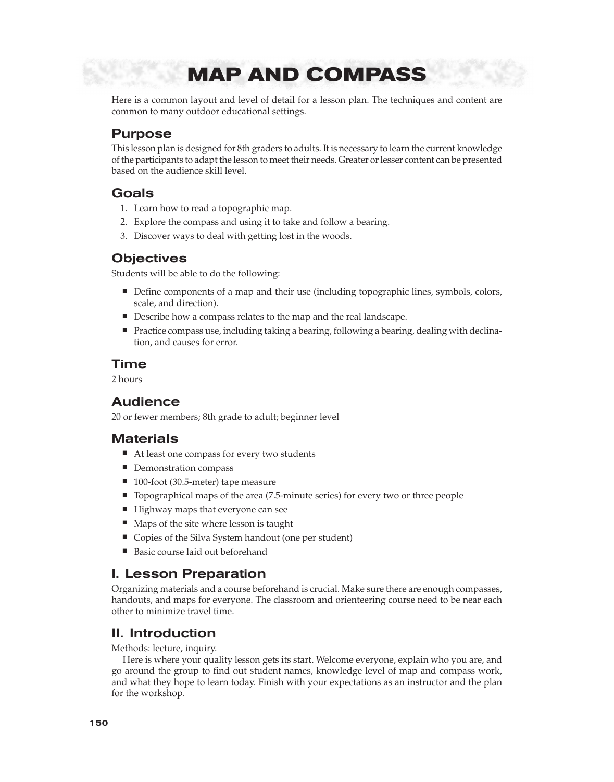# **MAP AND COMPASS**

Here is a common layout and level of detail for a lesson plan. The techniques and content are common to many outdoor educational settings.

# **Purpose**

This lesson plan is designed for 8th graders to adults. It is necessary to learn the current knowledge of the participants to adapt the lesson to meet their needs. Greater or lesser content can be presented based on the audience skill level.

# **Goals**

- 1. Learn how to read a topographic map.
- 2. Explore the compass and using it to take and follow a bearing.
- 3. Discover ways to deal with getting lost in the woods.

### **Objectives**

Students will be able to do the following:

- Define components of a map and their use (including topographic lines, symbols, colors, scale, and direction).
- Describe how a compass relates to the map and the real landscape.
- Practice compass use, including taking a bearing, following a bearing, dealing with declination, and causes for error.

# **Time**

2 hours

# **Audience**

20 or fewer members; 8th grade to adult; beginner level

# **Materials**

- At least one compass for every two students
- Demonstration compass
- 100-foot (30.5-meter) tape measure
- Topographical maps of the area (7.5-minute series) for every two or three people
- Highway maps that everyone can see
- Maps of the site where lesson is taught
- Copies of the Silva System handout (one per student)
- Basic course laid out beforehand

# **I. Lesson Preparation**

Organizing materials and a course beforehand is crucial. Make sure there are enough compasses, handouts, and maps for everyone. The classroom and orienteering course need to be near each other to minimize travel time.

# **II. Introduction**

Methods: lecture, inquiry.

Here is where your quality lesson gets its start. Welcome everyone, explain who you are, and go around the group to find out student names, knowledge level of map and compass work, and what they hope to learn today. Finish with your expectations as an instructor and the plan for the workshop.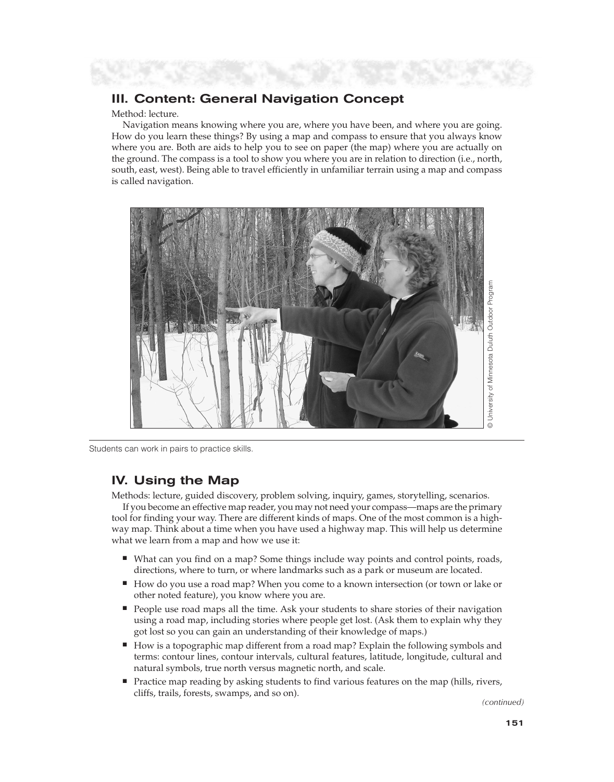### **III. Content: General Navigation Concept**

#### Method: lecture.

Navigation means knowing where you are, where you have been, and where you are going. How do you learn these things? By using a map and compass to ensure that you always know where you are. Both are aids to help you to see on paper (the map) where you are actually on the ground. The compass is a tool to show you where you are in relation to direction (i.e., north, south, east, west). Being able to travel efficiently in unfamiliar terrain using a map and compass is called navigation.



Students can work in pairs to practice skills.

# **IV. Using the Map**

Methods: lecture, guided discovery, problem solving, inquiry, games, storytelling, scenarios.

If you become an effective map reader, you may not need your compass—maps are the primary tool for finding your way. There are different kinds of maps. One of the most common is a highway map. Think about a time when you have used a highway map. This will help us determine what we learn from a map and how we use it:

- What can you find on a map? Some things include way points and control points, roads, directions, where to turn, or where landmarks such as a park or museum are located.
- How do you use a road map? When you come to a known intersection (or town or lake or other noted feature), you know where you are.
- People use road maps all the time. Ask your students to share stories of their navigation using a road map, including stories where people get lost. (Ask them to explain why they got lost so you can gain an understanding of their knowledge of maps.)
- How is a topographic map different from a road map? Explain the following symbols and terms: contour lines, contour intervals, cultural features, latitude, longitude, cultural and natural symbols, true north versus magnetic north, and scale.
- Practice map reading by asking students to find various features on the map (hills, rivers, cliffs, trails, forests, swamps, and so on).

(continued)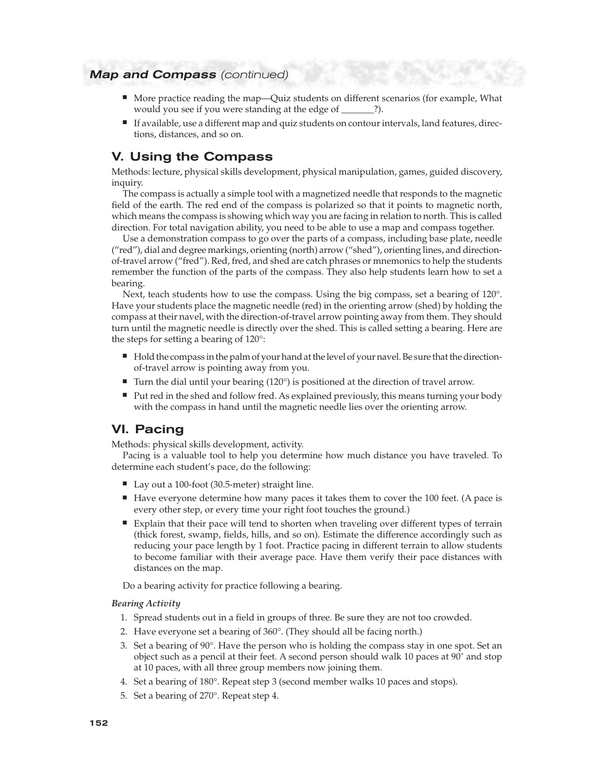### **Map and Compass** (continued)

- More practice reading the map—Quiz students on different scenarios (for example, What would you see if you were standing at the edge of \_\_\_\_\_\_\_?).
- If available, use a different map and quiz students on contour intervals, land features, directions, distances, and so on.

### **V. Using the Compass**

Methods: lecture, physical skills development, physical manipulation, games, guided discovery, inquiry.

The compass is actually a simple tool with a magnetized needle that responds to the magnetic field of the earth. The red end of the compass is polarized so that it points to magnetic north, which means the compass is showing which way you are facing in relation to north. This is called direction. For total navigation ability, you need to be able to use a map and compass together.

Use a demonstration compass to go over the parts of a compass, including base plate, needle ("red"), dial and degree markings, orienting (north) arrow ("shed"), orienting lines, and directionof-travel arrow ("fred"). Red, fred, and shed are catch phrases or mnemonics to help the students remember the function of the parts of the compass. They also help students learn how to set a bearing.

Next, teach students how to use the compass. Using the big compass, set a bearing of 120°. Have your students place the magnetic needle (red) in the orienting arrow (shed) by holding the compass at their navel, with the direction-of-travel arrow pointing away from them. They should turn until the magnetic needle is directly over the shed. This is called setting a bearing. Here are the steps for setting a bearing of 120°:

- Hold the compass in the palm of your hand at the level of your navel. Be sure that the directionof-travel arrow is pointing away from you.
- Turn the dial until your bearing (120<sup>o</sup>) is positioned at the direction of travel arrow.
- Put red in the shed and follow fred. As explained previously, this means turning your body with the compass in hand until the magnetic needle lies over the orienting arrow.

### **VI. Pacing**

Methods: physical skills development, activity.

Pacing is a valuable tool to help you determine how much distance you have traveled. To determine each student's pace, do the following:

- Lay out a 100-foot (30.5-meter) straight line.
- Have everyone determine how many paces it takes them to cover the 100 feet. (A pace is every other step, or every time your right foot touches the ground.)
- Explain that their pace will tend to shorten when traveling over different types of terrain (thick forest, swamp, fields, hills, and so on). Estimate the difference accordingly such as reducing your pace length by 1 foot. Practice pacing in different terrain to allow students to become familiar with their average pace. Have them verify their pace distances with distances on the map.

Do a bearing activity for practice following a bearing.

#### *Bearing Activity*

- 1. Spread students out in a field in groups of three. Be sure they are not too crowded.
- 2. Have everyone set a bearing of 360°. (They should all be facing north.)
- 3. Set a bearing of  $90^\circ$ . Have the person who is holding the compass stay in one spot. Set an object such as a pencil at their feet. A second person should walk 10 paces at 90˚ and stop at 10 paces, with all three group members now joining them.
- 4. Set a bearing of 180°. Repeat step 3 (second member walks 10 paces and stops).
- 5. Set a bearing of 270°. Repeat step 4.